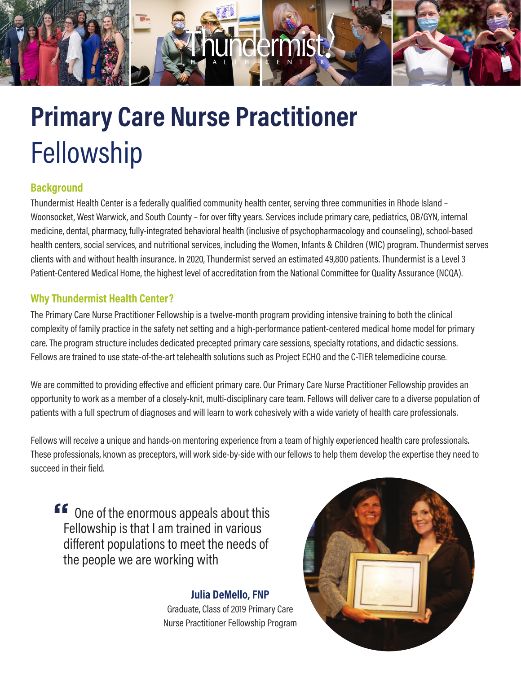

# Fellowship **Primary Care Nurse Practitioner**

## **Background**

Thundermist Health Center is a federally qualified community health center, serving three communities in Rhode Island – Woonsocket, West Warwick, and South County – for over fifty years. Services include primary care, pediatrics, OB/GYN, internal medicine, dental, pharmacy, fully-integrated behavioral health (inclusive of psychopharmacology and counseling), school-based health centers, social services, and nutritional services, including the Women, Infants & Children (WIC) program. Thundermist serves clients with and without health insurance. In 2020, Thundermist served an estimated 49,800 patients. Thundermist is a Level 3 Patient-Centered Medical Home, the highest level of accreditation from the National Committee for Quality Assurance (NCQA).

## **Why Thundermist Health Center?**

The Primary Care Nurse Practitioner Fellowship is a twelve-month program providing intensive training to both the clinical complexity of family practice in the safety net setting and a high-performance patient-centered medical home model for primary care. The program structure includes dedicated precepted primary care sessions, specialty rotations, and didactic sessions. Fellows are trained to use state-of-the-art telehealth solutions such as Project ECHO and the C-TIER telemedicine course.

We are committed to providing effective and efficient primary care. Our Primary Care Nurse Practitioner Fellowship provides an opportunity to work as a member of a closely-knit, multi-disciplinary care team. Fellows will deliver care to a diverse population of patients with a full spectrum of diagnoses and will learn to work cohesively with a wide variety of health care professionals.

Fellows will receive a unique and hands-on mentoring experience from a team of highly experienced health care professionals. These professionals, known as preceptors, will work side-by-side with our fellows to help them develop the expertise they need to succeed in their field.

**"** One of the enormous appeals about this Fellowship is that I am trained in various different populations to meet the needs of the people we are working with

# **Julia DeMello, FNP**

Graduate, Class of 2019 Primary Care Nurse Practitioner Fellowship Program